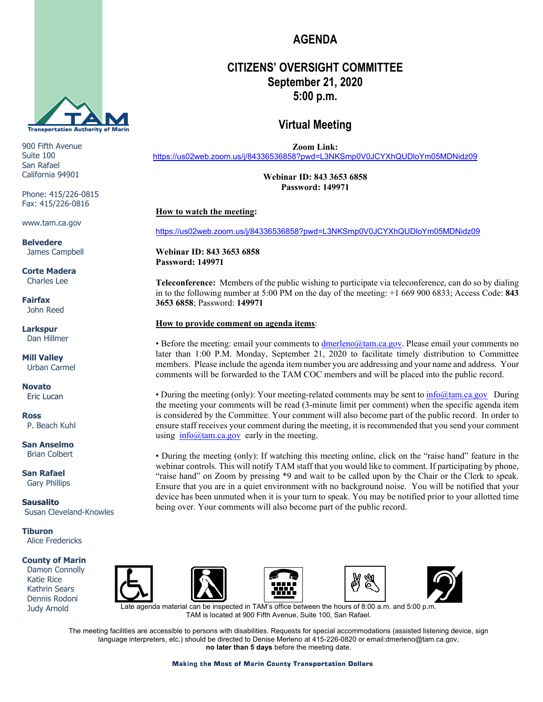

900 Fifth Avenue Suite 100 San Rafael California 94901

Phone: 415/226-0815 Fax: 415/226-0816

www.tam.ca.gov

**Belvedere** James Campbell

**Corte Madera** Charles Lee

**Fairfax** John Reed

**Larkspur** Dan Hillmer

**Mill Valley** Urban Carmel

**Novato** Eric Lucan

**Ross** P. Beach Kuhl

**San Anselmo** Brian Colbert

**San Rafael** Gary Phillips

**Sausalito** Susan Cleveland-Knowles

**Tiburon** Alice Fredericks

#### **County of Marin**

 Damon Connolly Katie Rice Kathrin Sears Dennis Rodoni Judy Arnold











ate agenda material can be inspected in TAM's office between the hours of 8:00 a.m. and 5:00 p. TAM is located at 900 Fifth Avenue, Suite 100, San Rafael.

The meeting facilities are accessible to persons with disabilities. Requests for special accommodations (assisted listening device, sign language interpreters, etc.) should be directed to Denise Merleno at 415-226-0820 or email:dmerleno@tam.ca.gov, **no later than 5 days** before the meeting date.

# **AGENDA**

## **CITIZENS' OVERSIGHT COMMITTEE September 21, 2020 5:00 p.m.**

## **Virtual Meeting**

**Zoom Link:** 

<https://us02web.zoom.us/j/84336536858?pwd=L3NKSmp0V0JCYXhQUDloYm05MDNidz09>

**Webinar ID: 843 3653 6858 Password: 149971**

**How to watch the meeting:**

<https://us02web.zoom.us/j/84336536858?pwd=L3NKSmp0V0JCYXhQUDloYm05MDNidz09>

**Webinar ID: 843 3653 6858 Password: 149971**

**Teleconference:** Members of the public wishing to participate via teleconference, can do so by dialing in to the following number at 5:00 PM on the day of the meeting: +1 669 900 6833; Access Code: **843 3653 6858**; Password: **149971**

### **How to provide comment on agenda items**:

• Before the meeting: email your comments t[o dmerleno@tam.ca.gov.](mailto:dmerleno@tam.ca.gov) Please email your comments no later than 1:00 P.M. Monday, September 21, 2020 to facilitate timely distribution to Committee members. Please include the agenda item number you are addressing and your name and address. Your comments will be forwarded to the TAM COC members and will be placed into the public record.

• During the meeting (only): Your meeting-related comments may be sent to  $\frac{info@tam.ca.gov}{info@tam.ca.gov}$  During the meeting your comments will be read (3-minute limit per comment) when the specific agenda item is considered by the Committee. Your comment will also become part of the public record. In order to ensure staff receives your comment during the meeting, it is recommended that you send your comment using  $info@$ tam.ca.gov early in the meeting.

• During the meeting (only): If watching this meeting online, click on the "raise hand" feature in the webinar controls. This will notify TAM staff that you would like to comment. If participating by phone, "raise hand" on Zoom by pressing \*9 and wait to be called upon by the Chair or the Clerk to speak. Ensure that you are in a quiet environment with no background noise. You will be notified that your device has been unmuted when it is your turn to speak. You may be notified prior to your allotted time being over. Your comments will also become part of the public record.